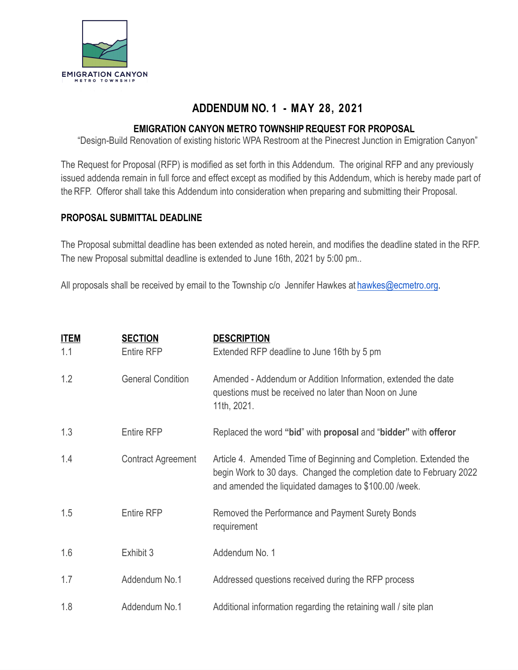

## **ADDENDUM NO. 1 - MAY 28, 2021**

#### **EMIGRATION CANYON METRO TOWNSHIP REQUEST FOR PROPOSAL**

"Design-Build Renovation of existing historic WPA Restroom at the Pinecrest Junction in Emigration Canyon"

The Request for Proposal (RFP) is modified as set forth in this Addendum. The original RFP and any previously issued addenda remain in full force and effect except as modified by this Addendum, which is hereby made part of the RFP. Offeror shall take this Addendum into consideration when preparing and submitting their Proposal.

#### **PROPOSAL SUBMITTAL DEADLINE**

The Proposal submittal deadline has been extended as noted herein, and modifies the deadline stated in the RFP. The new Proposal submittal deadline is extended to June 16th, 2021 by 5:00 pm..

All proposals shall be received by email to the Township c/o Jennifer Hawkes at [hawkes@ecmetro.org](mailto:hawkes@ecmetro.org).

| <b>ITEM</b> | <b>SECTION</b>            | <b>DESCRIPTION</b>                                                                                                                                                                                |
|-------------|---------------------------|---------------------------------------------------------------------------------------------------------------------------------------------------------------------------------------------------|
| 1.1         | Entire RFP                | Extended RFP deadline to June 16th by 5 pm                                                                                                                                                        |
| 1.2         | <b>General Condition</b>  | Amended - Addendum or Addition Information, extended the date<br>questions must be received no later than Noon on June<br>11th, 2021.                                                             |
| 1.3         | <b>Entire RFP</b>         | Replaced the word "bid" with proposal and "bidder" with offeror                                                                                                                                   |
| 1.4         | <b>Contract Agreement</b> | Article 4. Amended Time of Beginning and Completion. Extended the<br>begin Work to 30 days. Changed the completion date to February 2022<br>and amended the liquidated damages to \$100.00 /week. |
| 1.5         | <b>Entire RFP</b>         | Removed the Performance and Payment Surety Bonds<br>requirement                                                                                                                                   |
| 1.6         | Exhibit 3                 | Addendum No. 1                                                                                                                                                                                    |
| 1.7         | Addendum No.1             | Addressed questions received during the RFP process                                                                                                                                               |
| 1.8         | Addendum No.1             | Additional information regarding the retaining wall / site plan                                                                                                                                   |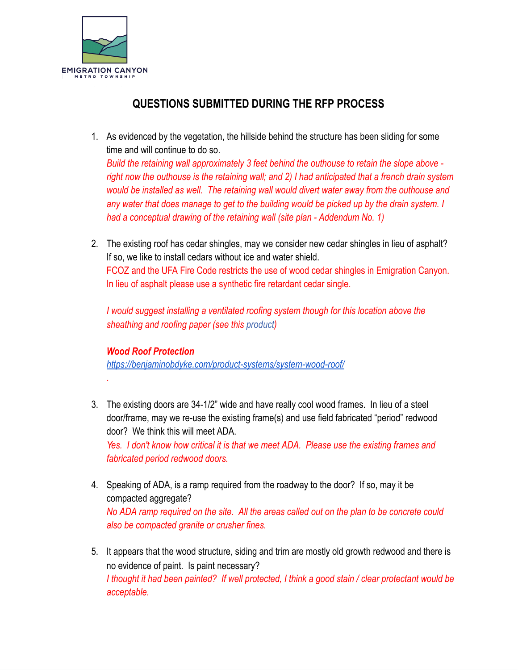

# **QUESTIONS SUBMITTED DURING THE RFP PROCESS**

- 1. As evidenced by the vegetation, the hillside behind the structure has been sliding for some time and will continue to do so. *Build the retaining wall approximately 3 feet behind the outhouse to retain the slope above right now the outhouse is the retaining wall; and 2) I had anticipated that a french drain system would be installed as well. The retaining wall would divert water away from the outhouse and*  any water that does manage to get to the building would be picked up by the drain system. I *had a conceptual drawing of the retaining wall (site plan - Addendum No. 1)*
- 2. The existing roof has cedar shingles, may we consider new cedar shingles in lieu of asphalt? If so, we like to install cedars without ice and water shield. FCOZ and the UFA Fire Code restricts the use of wood cedar shingles in Emigration Canyon. In lieu of asphalt please use a synthetic fire retardant cedar single.

*I would suggest installing a ventilated roofing system though for this location above the*  **sheathing and roofing paper (see this** [product](https://benjaminobdyke.com/product-systems/system-wood-roof/))

### *Wood Roof Protection*

.

*<https://benjaminobdyke.com/product-systems/system-wood-roof/>* 

- 3. The existing doors are 34-1/2" wide and have really cool wood frames. In lieu of a steel door/frame, may we re-use the existing frame(s) and use field fabricated "period" redwood door? We think this will meet ADA. *Yes. I don't know how critical it is that we meet ADA. Please use the existing frames and fabricated period redwood doors.*
- 4. Speaking of ADA, is a ramp required from the roadway to the door? If so, may it be compacted aggregate? *No ADA ramp required on the site. All the areas called out on the plan to be concrete could also be compacted granite or crusher fines.*
- 5. It appears that the wood structure, siding and trim are mostly old growth redwood and there is no evidence of paint. Is paint necessary? *I thought it had been painted? If well protected, I think a good stain / clear protectant would be acceptable.*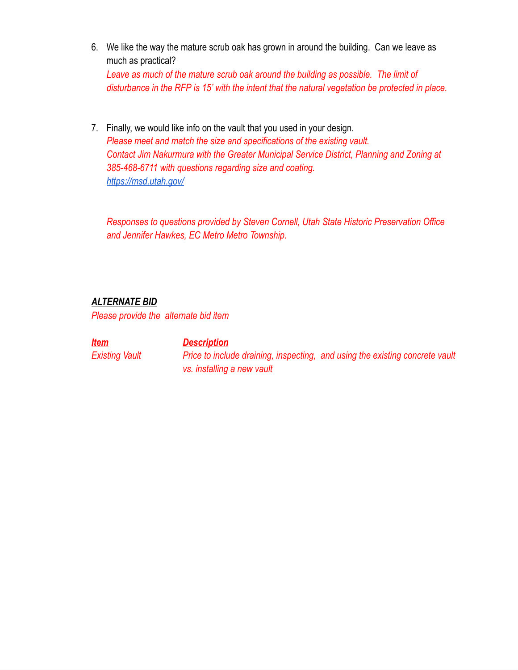6. We like the way the mature scrub oak has grown in around the building. Can we leave as much as practical?

*Leave as much of the mature scrub oak around the building as possible. The limit of disturbance in the RFP is 15' with the intent that the natural vegetation be protected in place.*

7. Finally, we would like info on the vault that you used in your design. *Please meet and match the size and specifications of the existing vault. Contact Jim Nakurmura with the Greater Municipal Service District, Planning and Zoning at 385-468-6711 with questions regarding size and coating. <https://msd.utah.gov/>*

*Responses to questions provided by Steven Cornell, Utah State Historic Preservation Office and Jennifer Hawkes, EC Metro Metro Township.* 

### *ALTERNATE BID*

*Please provide the alternate bid item* 

*Item Description* 

*Existing Vault Price to include draining, inspecting, and using the existing concrete vault vs. installing a new vault*